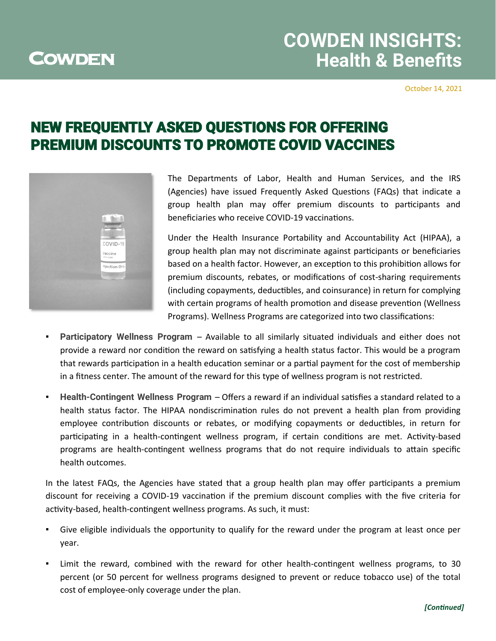## **COWDEN**

# **COWDEN INSIGHTS: Health & Benefits**

October 14, 2021

### NEW FREQUENTLY ASKED QUESTIONS FOR OFFERING PREMIUM DISCOUNTS TO PROMOTE COVID VACCINES



The Departments of Labor, Health and Human Services, and the IRS (Agencies) have issued Frequently Asked Questions (FAQs) that indicate a group health plan may offer premium discounts to participants and beneficiaries who receive COVID-19 vaccinations.

Under the Health Insurance Portability and Accountability Act (HIPAA), a group health plan may not discriminate against participants or beneficiaries based on a health factor. However, an exception to this prohibition allows for premium discounts, rebates, or modifications of cost-sharing requirements (including copayments, deductibles, and coinsurance) in return for complying with certain programs of health promotion and disease prevention (Wellness Programs). Wellness Programs are categorized into two classifications:

- **Participatory Wellness Program** Available to all similarly situated individuals and either does not provide a reward nor condition the reward on satisfying a health status factor. This would be a program that rewards participation in a health education seminar or a partial payment for the cost of membership in a fitness center. The amount of the reward for this type of wellness program is not restricted.
- **Health-Contingent Wellness Program**  Offers a reward if an individual satisfies a standard related to a health status factor. The HIPAA nondiscrimination rules do not prevent a health plan from providing employee contribution discounts or rebates, or modifying copayments or deductibles, in return for participating in a health-contingent wellness program, if certain conditions are met. Activity-based programs are health-contingent wellness programs that do not require individuals to attain specific health outcomes.

In the latest FAQs, the Agencies have stated that a group health plan may offer participants a premium discount for receiving a COVID-19 vaccination if the premium discount complies with the five criteria for activity-based, health-contingent wellness programs. As such, it must:

- Give eligible individuals the opportunity to qualify for the reward under the program at least once per year.
- Limit the reward, combined with the reward for other health-contingent wellness programs, to 30 percent (or 50 percent for wellness programs designed to prevent or reduce tobacco use) of the total cost of employee-only coverage under the plan.